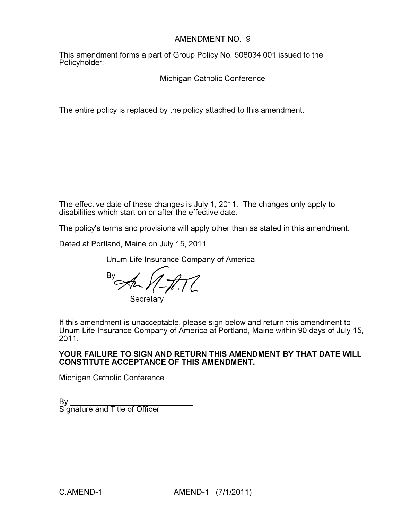#### AMENDMENT NO. 9

This amendment forms a part of Group Policy No. 508034 001 issued to the Policyholder:

Michigan Catholic Conference

The entire policy is replaced by the policy attached to this amendment.

The effective date of these changes is July 1, 2011. The changes only apply to disabilities which start on or after the effective date.

The policy's terms and provisions will apply other than as stated in this amendment.

Dated at Portland, Maine on July 15, 2011.

Unum Life Insurance Company of America

 $\mathbb{B}^y$  An  $\mathbb{H}$ 

**Secretary** 

If this amendment is unacceptable, please sign below and return this amendment to Unum Life Insurance Company of America at Portland, Maine within 90 days of July 15, 2011.

#### YOUR FAILURE TO SIGN AND RETURN THIS AMENDMENT BY THAT DATE WILL CONSTITUTE ACCEPTANCE OF THIS AMENDMENT.

Michigan Catholic Conference

By \_\_\_\_\_\_\_\_\_\_\_\_\_\_\_\_\_\_\_\_\_\_\_\_\_\_\_\_ Signature and Title of Officer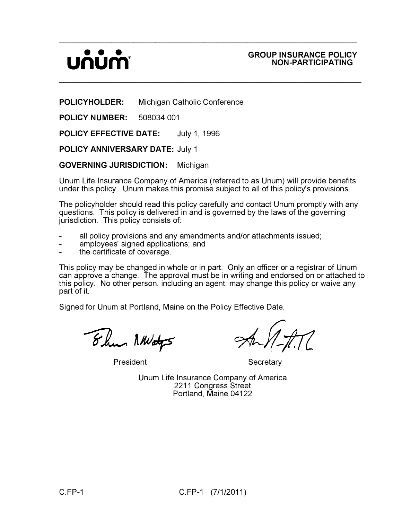# UNUN

#### GROUP INSURANCE POLICY NON-PARTICIPATING

POLICYHOLDER: Michigan Catholic Conference

POLICY NUMBER: 508034 001

POLICY EFFECTIVE DATE: July 1, 1996

POLICY ANNIVERSARY DATE: July 1

GOVERNING JURISDICTION: Michigan

Unum Life Insurance Company of America (referred to as Unum) will provide benefits under this policy. Unum makes this promise subject to all of this policy's provisions.

\_\_\_\_\_\_\_\_\_\_\_\_\_\_\_\_\_\_\_\_\_\_\_\_\_\_\_\_\_\_\_\_\_\_\_\_\_\_\_\_\_\_\_\_\_\_\_\_\_\_\_\_\_\_\_\_\_\_\_\_\_\_\_\_\_\_\_\_

 $\_$ 

The policyholder should read this policy carefully and contact Unum promptly with any questions. This policy is delivered in and is governed by the laws of the governing jurisdiction. This policy consists of:

- all policy provisions and any amendments and/or attachments issued;
- employees' signed applications; and
- the certificate of coverage.

This policy may be changed in whole or in part. Only an officer or a registrar of Unum can approve a change. The approval must be in writing and endorsed on or attached to this policy. No other person, including an agent, may change this policy or waive any part of it.

Signed for Unum at Portland, Maine on the Policy Effective Date.

Ehm NWaty

President **Secretary** 

Unum Life Insurance Company of America 2211 Congress Street Portland, Maine 04122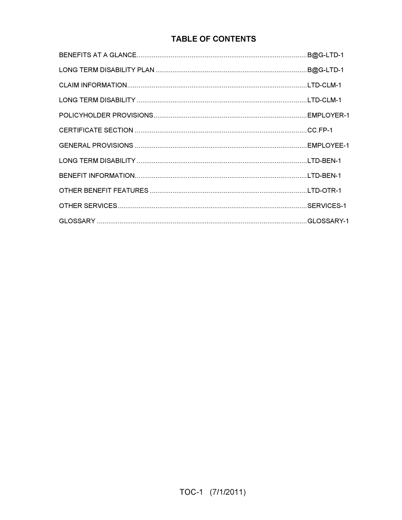### **TABLE OF CONTENTS**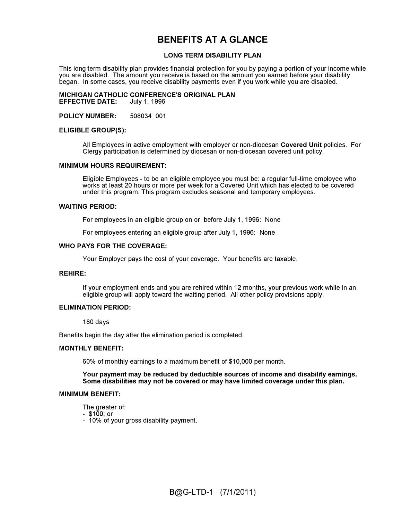### BENEFITS AT A GLANCE

#### LONG TERM DISABILITY PLAN

This long term disability plan provides financial protection for you by paying a portion of your income while you are disabled. The amount you receive is based on the amount you earned before your disability began. In some cases, you receive disability payments even if you work while you are disabled.

#### MICHIGAN CATHOLIC CONFERENCE'S ORIGINAL PLAN<br>EFFECTIVE DATE: July 1, 1996 **EFFECTIVE DATE:**

POLICY NUMBER: 508034 001

#### ELIGIBLE GROUP(S):

All Employees in active employment with employer or non-diocesan Covered Unit policies. For Clergy participation is determined by diocesan or non-diocesan covered unit policy.

#### MINIMUM HOURS REQUIREMENT:

Eligible Employees - to be an eligible employee you must be: a regular full-time employee who works at least 20 hours or more per week for a Covered Unit which has elected to be covered under this program. This program excludes seasonal and temporary employees.

#### WAITING PERIOD:

For employees in an eligible group on or before July 1, 1996: None

For employees entering an eligible group after July 1, 1996: None

#### WHO PAYS FOR THE COVERAGE:

Your Employer pays the cost of your coverage. Your benefits are taxable.

#### REHIRE:

If your employment ends and you are rehired within 12 months, your previous work while in an eligible group will apply toward the waiting period. All other policy provisions apply.

#### ELIMINATION PERIOD:

180 days

Benefits begin the day after the elimination period is completed.

#### MONTHLY BENEFIT:

60% of monthly earnings to a maximum benefit of \$10,000 per month.

Your payment may be reduced by deductible sources of income and disability earnings. Some disabilities may not be covered or may have limited coverage under this plan.

#### MINIMUM BENEFIT:

The greater of:

- \$100; or
- 10% of your gross disability payment.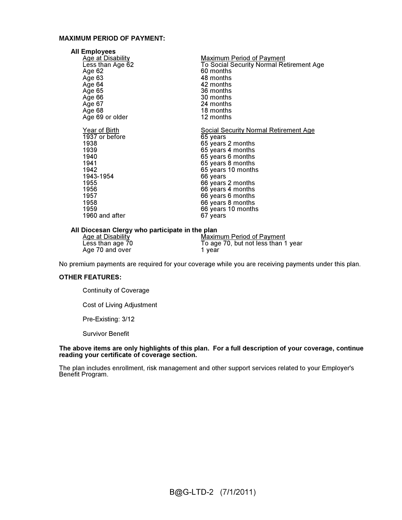#### MAXIMUM PERIOD OF PAYMENT:

| <b>All Employees</b>     |                                          |
|--------------------------|------------------------------------------|
| <b>Age at Disability</b> | Maximum Period of Payment                |
| Less than Age 62         | To Social Security Normal Retirement Age |
| Age 62                   | 60 months                                |
| Age 63                   | 48 months                                |
| Age 64                   | 42 months                                |
| Age 65                   | 36 months                                |
| Age 66                   | 30 months                                |
| Age 67                   | 24 months                                |
| Age 68                   | 18 months                                |
| Age 69 or older          | 12 months                                |
| Year of Birth            | Social Security Normal Retirement Age    |
| $1937$ or before         | 65 years                                 |
| 1938                     | 65 years 2 months                        |
| 1939                     | 65 years 4 months                        |
| 1940                     | 65 years 6 months                        |
| 1941                     | 65 years 8 months                        |
| 1942                     | 65 years 10 months                       |
| 1943-1954                | 66 years                                 |
| 1955                     | 66 years 2 months                        |
| 1956                     | 66 years 4 months                        |
| 1957                     | 66 years 6 months                        |
| 1958                     | 66 years 8 months                        |
| 1959                     | 66 years 10 months                       |
| 1960 and after           | 67 years                                 |

#### All Diocesan Clergy who participate in the plan

| Age at Disability | Maximum Period of Payment           |
|-------------------|-------------------------------------|
| Less than age 70  | To age 70, but not less than 1 year |
| Age 70 and over   | 1 vear                              |

No premium payments are required for your coverage while you are receiving payments under this plan.

#### OTHER FEATURES:

Continuity of Coverage

Cost of Living Adjustment

Pre-Existing: 3/12

Survivor Benefit

#### The above items are only highlights of this plan. For a full description of your coverage, continue reading your certificate of coverage section.

The plan includes enrollment, risk management and other support services related to your Employer's Benefit Program.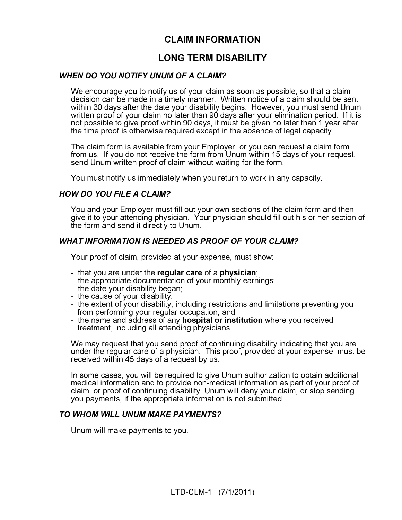### CLAIM INFORMATION

### LONG TERM DISABILITY

#### **WHEN DO YOU NOTIFY UNUM OF A CLAIM?** WHEN DO YOU NOTIFY UNUSUAL CHAIRS OF A CLAIM

We encourage you to notify us of your claim as soon as possible, so that a claim decision can be made in a timely manner. Written notice of a claim should be sent within 30 days after the date your disability begins. However, you must send Unum written proof of your claim no later than 90 days after your elimination period. If it is not possible to give proof within 90 days, it must be given no later than 1 year after the time proof is otherwise required except in the absence of legal capacity.

The claim form is available from your Employer, or you can request a claim form from us. If you do not receive the form from Unum within 15 days of your request, send Unum written proof of claim without waiting for the form.

You must notify us immediately when you return to work in any capacity.

#### **HOW DO YOU FILE A CLAIM?** How do you file a claim of the same

You and your Employer must fill out your own sections of the claim form and then give it to your attending physician. Your physician should fill out his or her section of the form and send it directly to Unum.

#### **WHAT INFORMATION IS NEEDED AS PROOF OF YOUR CLAIM?** WHAT INFORMATION IS NEEDED AS PROOF OF YOUR CLAIM?

Your proof of claim, provided at your expense, must show:

- that you are under the regular care of a physician;
- the appropriate documentation of your monthly earnings;
- the date your disability began;
- the cause of your disability;
- the extent of your disability, including restrictions and limitations preventing you from performing your regular occupation; and
- the name and address of any hospital or institution where you received treatment, including all attending physicians.

We may request that you send proof of continuing disability indicating that you are under the regular care of a physician. This proof, provided at your expense, must be received within 45 days of a request by us.

In some cases, you will be required to give Unum authorization to obtain additional medical information and to provide non-medical information as part of your proof of claim, or proof of continuing disability. Unum will deny your claim, or stop sending you payments, if the appropriate information is not submitted.

#### TO WHOM WILL UNUM MAKE PAYMENTS? TO WHOM WILL UNUM MAKE PAYMENTS?

Unum will make payments to you.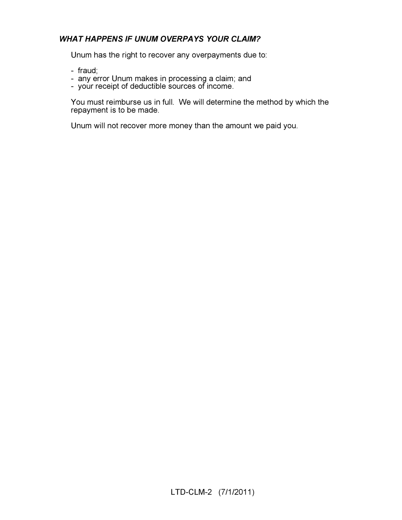## WHAT HAPPENS IF UNUM OVERFAYS YOUR CLAIM?

Unum has the right to recover any overpayments due to:

- fraud;
- any error Unum makes in processing a claim; and
- your receipt of deductible sources of income.

You must reimburse us in full. We will determine the method by which the repayment is to be made.

Unum will not recover more money than the amount we paid you.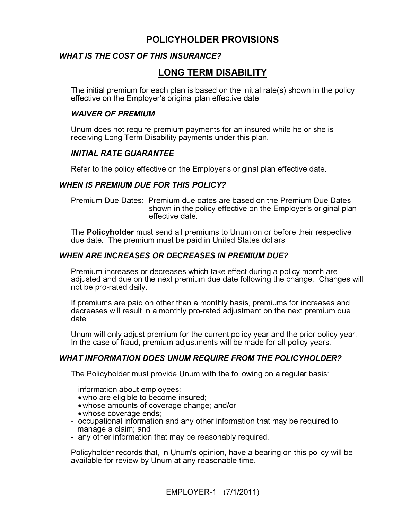### POLICYHOLDER PROVISIONS

#### **WHAT IS THE COST OF THIS INSURANCE?** WHAT IS THE COST OF THIS INSURANCE?

### LONG TERM DISABILITY

The initial premium for each plan is based on the initial rate(s) shown in the policy effective on the Employer's original plan effective date.

#### **WAIVER OF PREMIUM** WATER OF PREMIUM

Unum does not require premium payments for an insured while he or she is receiving Long Term Disability payments under this plan.

## INITIAL RATE GUARANTEE

Refer to the policy effective on the Employer's original plan effective date.

## WHEN IS PREMIUM DUE FOR THIS POLICY?

Premium Due Dates: Premium due dates are based on the Premium Due Dates shown in the policy effective on the Employer's original plan effective date.

The Policyholder must send all premiums to Unum on or before their respective due date. The premium must be paid in United States dollars.

## WHEN ARE IN CREASES ON DECREASES IN PREMIUM DUE?

Premium increases or decreases which take effect during a policy month are adjusted and due on the next premium due date following the change. Changes will not be pro-rated daily.

If premiums are paid on other than a monthly basis, premiums for increases and decreases will result in a monthly pro-rated adjustment on the next premium due date.

Unum will only adjust premium for the current policy year and the prior policy year. In the case of fraud, premium adjustments will be made for all policy years.

## WHAT INFORMATION DOES UNUM REQUIRE FROM THE POLICYHOLDER?

The Policyholder must provide Unum with the following on a regular basis:

- information about employees:
	- who are eligible to become insured;
	- whose amounts of coverage change; and/or
	- whose coverage ends;
- occupational information and any other information that may be required to manage a claim; and
- any other information that may be reasonably required.

Policyholder records that, in Unum's opinion, have a bearing on this policy will be available for review by Unum at any reasonable time.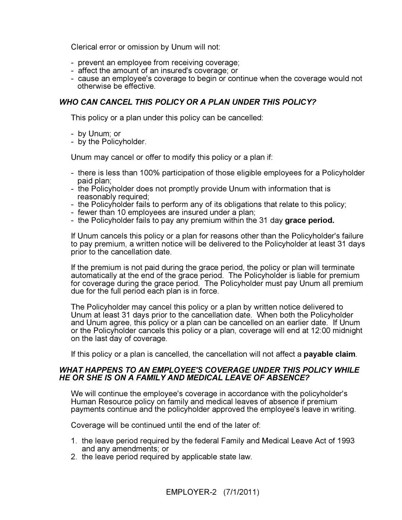Clerical error or omission by Unum will not:

- prevent an employee from receiving coverage;
- affect the amount of an insured's coverage; or
- cause an employee's coverage to begin or continue when the coverage would not otherwise be effective.

#### WHO CAN CANCEL THIS POLICY OR A PLAN UNDER THIS POLICY? WHO CAN CANCEL THIS POLICY OR A PLAN UNDER THIS POLICY?

This policy or a plan under this policy can be cancelled:

- by Unum; or
- by the Policyholder.

Unum may cancel or offer to modify this policy or a plan if:

- there is less than 100% participation of those eligible employees for a Policyholder paid plan;
- the Policyholder does not promptly provide Unum with information that is reasonably required;
- the Policyholder fails to perform any of its obligations that relate to this policy;
- fewer than 10 employees are insured under a plan;
- the Policyholder fails to pay any premium within the 31 day grace period.

If Unum cancels this policy or a plan for reasons other than the Policyholder's failure to pay premium, a written notice will be delivered to the Policyholder at least 31 days prior to the cancellation date.

If the premium is not paid during the grace period, the policy or plan will terminate automatically at the end of the grace period. The Policyholder is liable for premium for coverage during the grace period. The Policyholder must pay Unum all premium due for the full period each plan is in force.

The Policyholder may cancel this policy or a plan by written notice delivered to Unum at least 31 days prior to the cancellation date. When both the Policyholder and Unum agree, this policy or a plan can be cancelled on an earlier date. If Unum or the Policyholder cancels this policy or a plan, coverage will end at 12:00 midnight on the last day of coverage.

If this policy or a plan is cancelled, the cancellation will not affect a **payable claim**.

## WHAT HAPPENS TO AN EMPLOYEE'S COVERAGE UNDER THIS POLICY WHILE HE OR SHE IS ON A FAMILY AND MEDICAL LEAVE OF ABSENCE? HE OR SHE IS ON A FAMILY AND MEDICAL LEAVE OF ABSENCE?

We will continue the employee's coverage in accordance with the policyholder's Human Resource policy on family and medical leaves of absence if premium payments continue and the policyholder approved the employee's leave in writing.

Coverage will be continued until the end of the later of:

- 1. the leave period required by the federal Family and Medical Leave Act of 1993 and any amendments; or
- 2. the leave period required by applicable state law.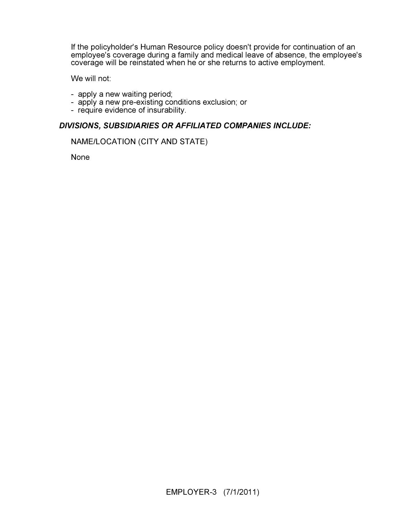If the policyholder's Human Resource policy doesn't provide for continuation of an employee's coverage during a family and medical leave of absence, the employee's coverage will be reinstated when he or she returns to active employment.

We will not:

- apply a new waiting period;
- apply a new pre-existing conditions exclusion; or
- require evidence of insurability.

#### DIVISIONS, SUBSIDIARIES OR AFFILIATED COMPANIES INCLUDE:

#### NAME/LOCATION (CITY AND STATE)

None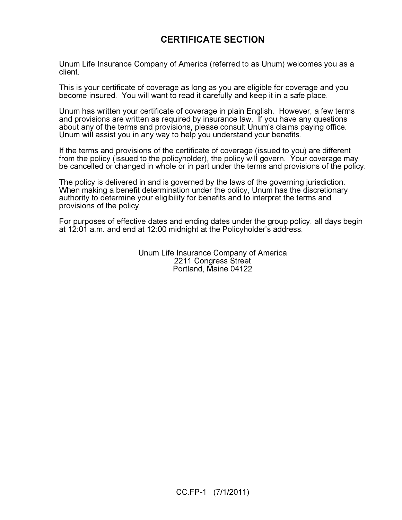### CERTIFICATE SECTION

Unum Life Insurance Company of America (referred to as Unum) welcomes you as a client.

This is your certificate of coverage as long as you are eligible for coverage and you become insured. You will want to read it carefully and keep it in a safe place.

Unum has written your certificate of coverage in plain English. However, a few terms and provisions are written as required by insurance law. If you have any questions about any of the terms and provisions, please consult Unum's claims paying office. Unum will assist you in any way to help you understand your benefits.

If the terms and provisions of the certificate of coverage (issued to you) are different from the policy (issued to the policyholder), the policy will govern. Your coverage may be cancelled or changed in whole or in part under the terms and provisions of the policy.

The policy is delivered in and is governed by the laws of the governing jurisdiction. When making a benefit determination under the policy, Unum has the discretionary authority to determine your eligibility for benefits and to interpret the terms and provisions of the policy.

For purposes of effective dates and ending dates under the group policy, all days begin at 12:01 a.m. and end at 12:00 midnight at the Policyholder's address.

> Unum Life Insurance Company of America 2211 Congress Street Portland, Maine 04122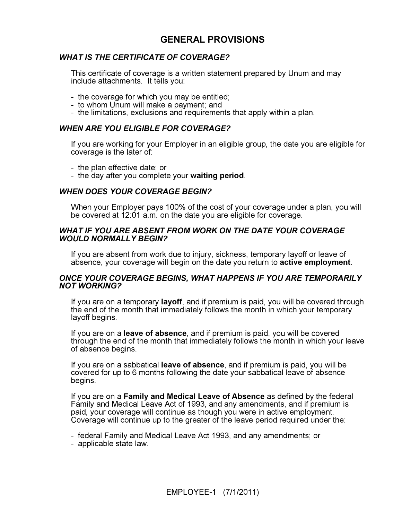### GENERAL PROVISIONS

#### **WHAT IS THE CERTIFICATE OF COVERAGE?** WHAT IS THE CERTIFICATE OF COVERAGE?

This certificate of coverage is a written statement prepared by Unum and may include attachments. It tells you:

- the coverage for which you may be entitled;
- to whom Unum will make a payment; and
- the limitations, exclusions and requirements that apply within a plan.

#### **WHEN ARE YOU ELIGIBLE FOR COVERAGE?** WHEN ARE YOU ELIGIBLE FOR COVERAGE?

If you are working for your Employer in an eligible group, the date you are eligible for coverage is the later of:

- the plan effective date; or
- the day after you complete your waiting period.

#### **WHEN DOES YOUR COVERAGE BEGIN?** WHEN POINT CONTINUES BEGIN:

When your Employer pays 100% of the cost of your coverage under a plan, you will be covered at 12:01 a.m. on the date you are eligible for coverage.

## WHAT IF YOU ARE ABSENT FROM WORK ON THE DATE YOUR COVERAGE<br>WOULD NORMALLY BEGIN? WOULD NORMALLY BEGIN?

If you are absent from work due to injury, sickness, temporary layoff or leave of absence, your coverage will begin on the date you return to active employment.

## ONCE YOUR COVERAGE BEGINS, WHAT HAPPENS IF YOU ARE TEMPORARILY<br>NOT WORKING? NOT WORKING?

If you are on a temporary layoff, and if premium is paid, you will be covered through the end of the month that immediately follows the month in which your temporary layoff begins.

If you are on a leave of absence, and if premium is paid, you will be covered through the end of the month that immediately follows the month in which your leave of absence begins.

If you are on a sabbatical leave of absence, and if premium is paid, you will be covered for up to 6 months following the date your sabbatical leave of absence begins.

If you are on a Family and Medical Leave of Absence as defined by the federal Family and Medical Leave Act of 1993, and any amendments, and if premium is paid, your coverage will continue as though you were in active employment. Coverage will continue up to the greater of the leave period required under the:

- federal Family and Medical Leave Act 1993, and any amendments; or
- applicable state law.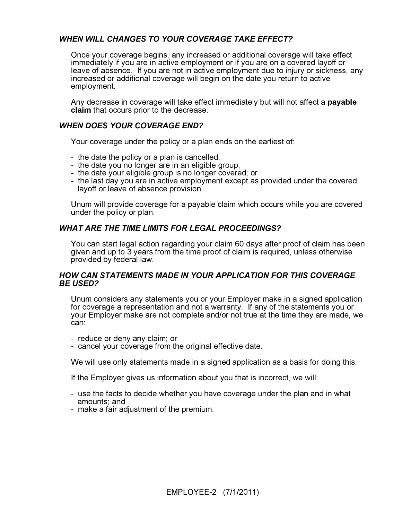## WHEN WILL CHANGES TO YOUR COVERAGE TAKE EFFECT?

Once your coverage begins, any increased or additional coverage will take effect immediately if you are in active employment or if you are on a covered layoff or leave of absence. If you are not in active employment due to injury or sickness, any increased or additional coverage will begin on the date you return to active employment.

Any decrease in coverage will take effect immediately but will not affect a payable claim that occurs prior to the decrease.

## WHEN POINT COMPONENT END?

Your coverage under the policy or a plan ends on the earliest of:

- the date the policy or a plan is cancelled;
- the date you no longer are in an eligible group;
- the date your eligible group is no longer covered; or
- the last day you are in active employment except as provided under the covered layoff or leave of absence provision.

Unum will provide coverage for a payable claim which occurs while you are covered under the policy or plan.

## WHAT ARE THE TIME LIMITS FOR LEGAL PROCEEDINGS?

You can start legal action regarding your claim 60 days after proof of claim has been given and up to 3 years from the time proof of claim is required, unless otherwise provided by federal law.

#### **HOW CAN STATEMENTS MADE IN YOUR APPLICATION FOR THIS COVERAGE BE USED?** BE USED?

Unum considers any statements you or your Employer make in a signed application for coverage a representation and not a warranty. If any of the statements you or your Employer make are not complete and/or not true at the time they are made, we can:

- reduce or deny any claim; or
- cancel your coverage from the original effective date.

We will use only statements made in a signed application as a basis for doing this.

If the Employer gives us information about you that is incorrect, we will:

- use the facts to decide whether you have coverage under the plan and in what amounts; and
- make a fair adjustment of the premium.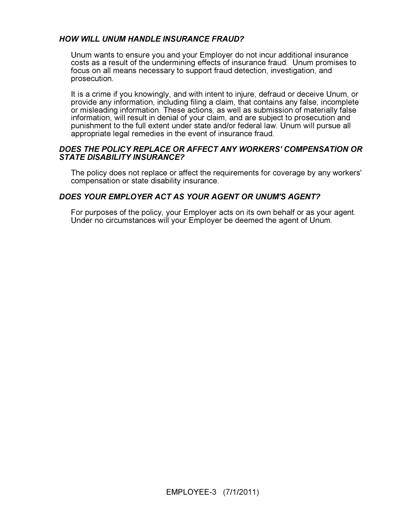## HOW WILL UNUM HANDLE INSURANCE FRAUD?

Unum wants to ensure you and your Employer do not incur additional insurance costs as a result of the undermining effects of insurance fraud. Unum promises to focus on all means necessary to support fraud detection, investigation, and prosecution.

It is a crime if you knowingly, and with intent to injure, defraud or deceive Unum, or provide any information, including filing a claim, that contains any false, incomplete or misleading information. These actions, as well as submission of materially false information, will result in denial of your claim, and are subject to prosecution and punishment to the full extent under state and/or federal law. Unum will pursue all appropriate legal remedies in the event of insurance fraud.

## DOES THE POLICY REPLACE OR AFFECT ANY WORKERS' COMPENSATION OR<br>STATE DISABILITY INSURANCE? STATE DISABILITY INSURANCE?

The policy does not replace or affect the requirements for coverage by any workers' compensation or state disability insurance.

#### DOES YOUR EMPLOYER ACT AS YOUR AGENT OR UNUM'S AGENT?

For purposes of the policy, your Employer acts on its own behalf or as your agent. Under no circumstances will your Employer be deemed the agent of Unum.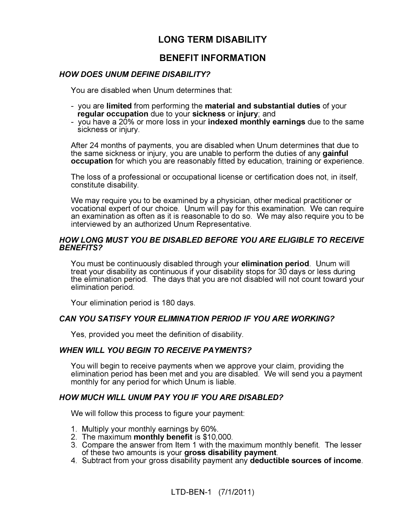### LONG TERM DISABILITY

### BENEFIT INFORMATION

#### **HOW DOES UNUM DEFINE DISABILITY?** HOW DOES UNUM DEFINE DISABILITY?

You are disabled when Unum determines that:

- you are limited from performing the material and substantial duties of your regular occupation due to your sickness or injury; and
- you have a 20% or more loss in your **indexed monthly earnings** due to the same sickness or injury.

After 24 months of payments, you are disabled when Unum determines that due to the same sickness or injury, you are unable to perform the duties of any gainful occupation for which you are reasonably fitted by education, training or experience.

The loss of a professional or occupational license or certification does not, in itself, constitute disability.

We may require you to be examined by a physician, other medical practitioner or vocational expert of our choice. Unum will pay for this examination. We can require an examination as often as it is reasonable to do so. We may also require you to be interviewed by an authorized Unum Representative.

## HOW LONG MUST YOU BE DISABLED BEFORE YOU ARE ELIGIBLE TO RECEIVE<br>BENEFITS? BENEFITS?

You must be continuously disabled through your elimination period. Unum will treat your disability as continuous if your disability stops for 30 days or less during the elimination period. The days that you are not disabled will not count toward your elimination period.

Your elimination period is 180 days.

## CAN YOU SATISFY YOUR ELIMINATION PERIOD IF YOU ARE WORKING?

Yes, provided you meet the definition of disability.

#### **WHEN WILL YOU BEGIN TO RECEIVE PAYMENTS?** WHEN WILL YOU BEGIN TO RECEIVE PAYMENTS?

You will begin to receive payments when we approve your claim, providing the elimination period has been met and you are disabled. We will send you a payment monthly for any period for which Unum is liable.

## HOW MUCH WILL UNUM PAY YOU IF YOU ARE DISABLED?

We will follow this process to figure your payment:

- 1. Multiply your monthly earnings by 60%.
- 2. The maximum **monthly benefit** is \$10,000.
- 3. Compare the answer from Item 1 with the maximum monthly benefit. The lesser of these two amounts is your gross disability payment.
- 4. Subtract from your gross disability payment any deductible sources of income.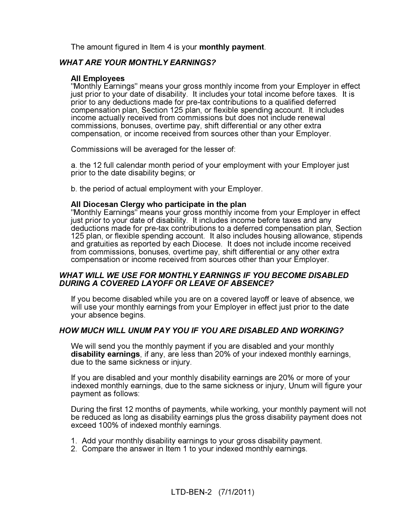The amount figured in Item 4 is your **monthly payment**.

#### **WHAT ARE YOUR MONTHLY EARNINGS?** WHAT ARE YOUR MONTHLY EARNINGS?

#### All Employees

"Monthly Earnings" means your gross monthly income from your Employer in effect just prior to your date of disability. It includes your total income before taxes. It is prior to any deductions made for pre-tax contributions to a qualified deferred compensation plan, Section 125 plan, or flexible spending account. It includes income actually received from commissions but does not include renewal commissions, bonuses, overtime pay, shift differential or any other extra compensation, or income received from sources other than your Employer.

Commissions will be averaged for the lesser of:

a. the 12 full calendar month period of your employment with your Employer just prior to the date disability begins; or

b. the period of actual employment with your Employer.

#### All Diocesan Clergy who participate in the plan

"Monthly Earnings" means your gross monthly income from your Employer in effect just prior to your date of disability. It includes income before taxes and any deductions made for pre-tax contributions to a deferred compensation plan, Section 125 plan, or flexible spending account. It also includes housing allowance, stipends and gratuities as reported by each Diocese. It does not include income received from commissions, bonuses, overtime pay, shift differential or any other extra compensation or income received from sources other than your Employer.

#### **WHAT WILL WE USE FOR MONTHLY EARNINGS IF YOU BECOME DISABLED** DURING A COVERED LAYOFF OR LEAVE OF ABSENCE? DURING A COVERED LAYOFF OR LEAVE OF ABSENCE?

If you become disabled while you are on a covered layoff or leave of absence, we will use your monthly earnings from your Employer in effect just prior to the date your absence begins.

## HOW MUCH WILL UNUM PAY YOU IF YOU ARE DISABLED AND WORKING?

We will send you the monthly payment if you are disabled and your monthly disability earnings, if any, are less than 20% of your indexed monthly earnings, due to the same sickness or injury.

If you are disabled and your monthly disability earnings are 20% or more of your indexed monthly earnings, due to the same sickness or injury, Unum will figure your payment as follows:

During the first 12 months of payments, while working, your monthly payment will not be reduced as long as disability earnings plus the gross disability payment does not exceed 100% of indexed monthly earnings.

- 1. Add your monthly disability earnings to your gross disability payment.
- 2. Compare the answer in Item 1 to your indexed monthly earnings.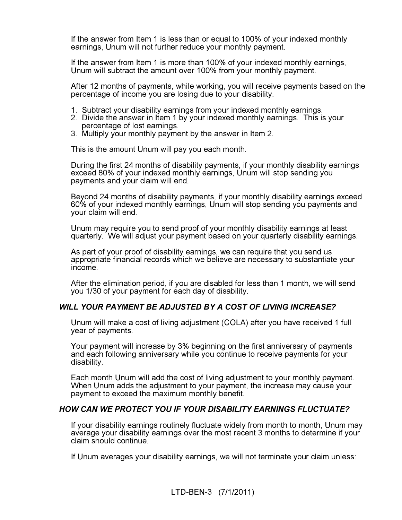If the answer from Item 1 is less than or equal to 100% of your indexed monthly earnings, Unum will not further reduce your monthly payment.

If the answer from Item 1 is more than 100% of your indexed monthly earnings, Unum will subtract the amount over 100% from your monthly payment.

After 12 months of payments, while working, you will receive payments based on the percentage of income you are losing due to your disability.

- 1. Subtract your disability earnings from your indexed monthly earnings.
- 2. Divide the answer in Item 1 by your indexed monthly earnings. This is your percentage of lost earnings.
- 3. Multiply your monthly payment by the answer in Item 2.

This is the amount Unum will pay you each month.

During the first 24 months of disability payments, if your monthly disability earnings exceed 80% of your indexed monthly earnings, Unum will stop sending you payments and your claim will end.

Beyond 24 months of disability payments, if your monthly disability earnings exceed 60% of your indexed monthly earnings, Unum will stop sending you payments and your claim will end.

Unum may require you to send proof of your monthly disability earnings at least quarterly. We will adjust your payment based on your quarterly disability earnings.

As part of your proof of disability earnings, we can require that you send us appropriate financial records which we believe are necessary to substantiate your income.

After the elimination period, if you are disabled for less than 1 month, we will send you 1/30 of your payment for each day of disability.

#### WILL YOUR PAYMENT BE ADJUSTED BY A COST OF LIVING INCREASE? WILL YOUR PAYMENT BEADDING BY A COST OF LIVING INCREASE?

Unum will make a cost of living adjustment (COLA) after you have received 1 full year of payments.

Your payment will increase by 3% beginning on the first anniversary of payments and each following anniversary while you continue to receive payments for your disability.

Each month Unum will add the cost of living adjustment to your monthly payment. When Unum adds the adjustment to your payment, the increase may cause your payment to exceed the maximum monthly benefit.

## HOW CAN WE PROTECT YOU IF YOUR DISABILITY EARNINGS FLUCTUATE?

If your disability earnings routinely fluctuate widely from month to month, Unum may average your disability earnings over the most recent 3 months to determine if your claim should continue.

If Unum averages your disability earnings, we will not terminate your claim unless: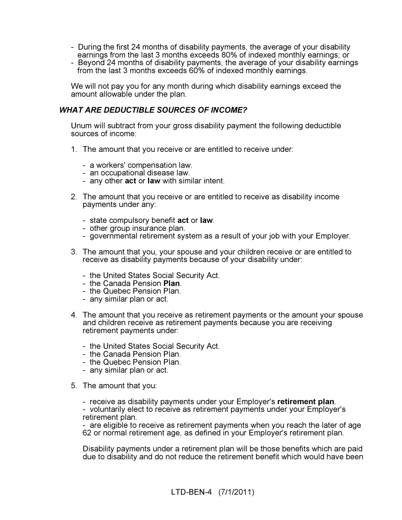- During the first 24 months of disability payments, the average of your disability earnings from the last 3 months exceeds 80% of indexed monthly earnings; or
- Beyond 24 months of disability payments, the average of your disability earnings from the last 3 months exceeds 60% of indexed monthly earnings.

We will not pay you for any month during which disability earnings exceed the amount allowable under the plan.

#### **WHAT ARE DEDUCTIBLE SOURCES OF INCOME?** WHAT ARE DEDUCTIBLE SOURCES OF INCOME?

Unum will subtract from your gross disability payment the following deductible sources of income:

- 1. The amount that you receive or are entitled to receive under:
	- a workers' compensation law.
	- an occupational disease law.
	- any other **act** or **law** with similar intent.
- 2. The amount that you receive or are entitled to receive as disability income payments under any:
	- state compulsory benefit **act** or **law**.
	- other group insurance plan.
	- governmental retirement system as a result of your job with your Employer.
- 3. The amount that you, your spouse and your children receive or are entitled to receive as disability payments because of your disability under:
	- the United States Social Security Act.
	- the Canada Pension Plan.
	- the Quebec Pension Plan.
	- any similar plan or act.
- 4. The amount that you receive as retirement payments or the amount your spouse and children receive as retirement payments because you are receiving retirement payments under:
	- the United States Social Security Act.
	- the Canada Pension Plan.
	- the Quebec Pension Plan.
	- any similar plan or act.
- 5. The amount that you:
	- receive as disability payments under your Employer's retirement plan.

- voluntarily elect to receive as retirement payments under your Employer's retirement plan.

- are eligible to receive as retirement payments when you reach the later of age 62 or normal retirement age, as defined in your Employer's retirement plan.

Disability payments under a retirement plan will be those benefits which are paid due to disability and do not reduce the retirement benefit which would have been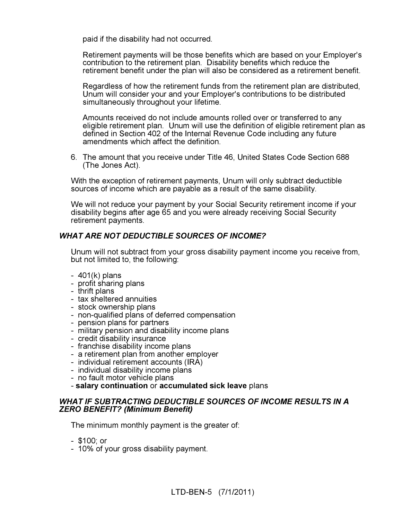paid if the disability had not occurred.

Retirement payments will be those benefits which are based on your Employer's contribution to the retirement plan. Disability benefits which reduce the retirement benefit under the plan will also be considered as a retirement benefit.

Regardless of how the retirement funds from the retirement plan are distributed, Unum will consider your and your Employer's contributions to be distributed simultaneously throughout your lifetime.

Amounts received do not include amounts rolled over or transferred to any eligible retirement plan. Unum will use the definition of eligible retirement plan as defined in Section 402 of the Internal Revenue Code including any future amendments which affect the definition.

6. The amount that you receive under Title 46, United States Code Section 688 (The Jones Act).

With the exception of retirement payments, Unum will only subtract deductible sources of income which are payable as a result of the same disability.

We will not reduce your payment by your Social Security retirement income if your disability begins after age 65 and you were already receiving Social Security retirement payments.

#### **WHAT ARE NOT DEDUCTIBLE SOURCES OF INCOME?** WHAT ARE NOT DEDUCTIBLE SOURCES OF INCOME?

Unum will not subtract from your gross disability payment income you receive from, but not limited to, the following:

- 401(k) plans
- profit sharing plans
- thrift plans
- tax sheltered annuities
- stock ownership plans
- non-qualified plans of deferred compensation
- pension plans for partners
- military pension and disability income plans
- credit disability insurance
- franchise disability income plans
- a retirement plan from another employer
- individual retirement accounts (IRA)
- individual disability income plans
- no fault motor vehicle plans
- salary continuation or accumulated sick leave plans

## WHAT IF SUBTRACTING DEDUCTIBLE SOURCES OF INCOME RESULTS IN A ZERO BENEFIT? (Minimum Benefit)  $\mathbb{Z}$  Benefit  $\mathbb{Z}$  (Minimum Benefit)

The minimum monthly payment is the greater of:

- \$100; or
- 10% of your gross disability payment.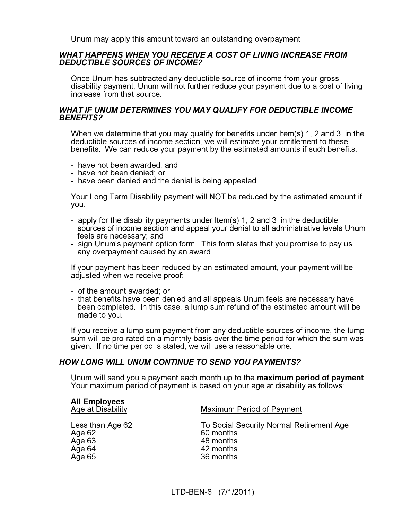Unum may apply this amount toward an outstanding overpayment.

## WHAT HAPPENS WHEN YOU RECEIVE A COST OF LIVING INCREASE FROM<br>DEDUCTIBLE SOURCES OF INCOME? DEDUCTIBLE SOURCES OF INCOME?

Once Unum has subtracted any deductible source of income from your gross disability payment, Unum will not further reduce your payment due to a cost of living increase from that source.

## WHAT IF UNUM DETERMINES YOU MAY QUALIFY FOR DEDUCTIBLE INCOME<br>BENEFITS? BENEFITS?

When we determine that you may qualify for benefits under Item(s) 1, 2 and 3 in the deductible sources of income section, we will estimate your entitlement to these benefits. We can reduce your payment by the estimated amounts if such benefits:

- have not been awarded; and
- have not been denied; or
- have been denied and the denial is being appealed.

Your Long Term Disability payment will NOT be reduced by the estimated amount if you:

- apply for the disability payments under Item(s) 1, 2 and 3 in the deductible sources of income section and appeal your denial to all administrative levels Unum feels are necessary; and
- sign Unum's payment option form. This form states that you promise to pay us any overpayment caused by an award.

If your payment has been reduced by an estimated amount, your payment will be adjusted when we receive proof:

- of the amount awarded; or
- that benefits have been denied and all appeals Unum feels are necessary have been completed. In this case, a lump sum refund of the estimated amount will be made to you.

If you receive a lump sum payment from any deductible sources of income, the lump sum will be pro-rated on a monthly basis over the time period for which the sum was given. If no time period is stated, we will use a reasonable one.

#### **HOW LONG WILL UNUM CONTINUE TO SEND YOU PAYMENTS?** HOW LONG WILL UNUM CONTINUE TO SEND YOU PAYMENTS?

Unum will send you a payment each month up to the maximum period of payment. Your maximum period of payment is based on your age at disability as follows:

| <b>All Employees</b><br>Age at Disability | <b>Maximum Period of Payment</b>         |
|-------------------------------------------|------------------------------------------|
| Less than Age 62                          | To Social Security Normal Retirement Age |
| Age 62                                    | 60 months                                |
| Age 63                                    | 48 months                                |
| Age 64                                    | 42 months                                |
| Age 65                                    | 36 months                                |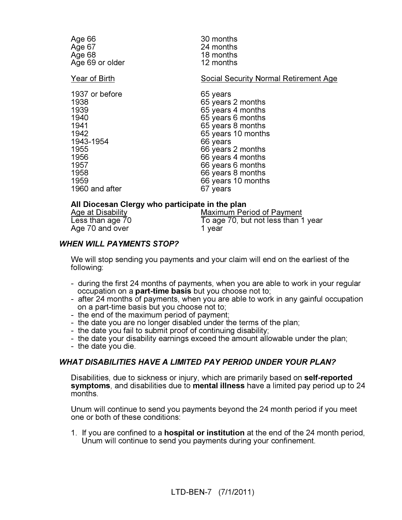| Age 66          | 30 months                                    |
|-----------------|----------------------------------------------|
| Age 67          | 24 months                                    |
| Age 68          | 18 months                                    |
| Age 69 or older | 12 months                                    |
| Year of Birth   | <b>Social Security Normal Retirement Age</b> |
| 1937 or before  | 65 years                                     |
| 1938            | 65 years 2 months                            |
| 1939            | 65 years 4 months                            |
| 1940            | 65 years 6 months                            |
| 1941            | 65 years 8 months                            |
| 1942            | 65 years 10 months                           |
| 1943-1954       | 66 years                                     |
| 1955            | 66 years 2 months                            |
| 1956            | 66 years 4 months                            |
| 1957            | 66 years 6 months                            |
| 1958            | 66 years 8 months                            |
| 1959            | 66 years 10 months                           |
| 1960 and after  | 67 years                                     |
|                 |                                              |

## All Diocesan Clergy who participate in the plan<br>Age at Disability Maximum Per

Age at Disability Maximum Period of Payment<br>
Less than age 70 To age 70, but not less than 1 year<br>1 vear Age 70 and over

## WHEN WILL PAYMENTS STOP?

We will stop sending you payments and your claim will end on the earliest of the following:

- during the first 24 months of payments, when you are able to work in your regular occupation on a **part-time basis** but you choose not to;
- after 24 months of payments, when you are able to work in any gainful occupation on a part-time basis but you choose not to;
- the end of the maximum period of payment;
- the date you are no longer disabled under the terms of the plan;
- the date you fail to submit proof of continuing disability;
- the date your disability earnings exceed the amount allowable under the plan;
- the date you die.

#### **WHAT DISABILITIES HAVE A LIMITED PAY PERIOD UNDER YOUR PLAN?** WHAT DISABILITIES HAVE A LIMITED PAY PERIOD UNDER YOUR PLAN?

Disabilities, due to sickness or injury, which are primarily based on self-reported symptoms, and disabilities due to mental illness have a limited pay period up to 24 months.

Unum will continue to send you payments beyond the 24 month period if you meet one or both of these conditions:

1. If you are confined to a hospital or institution at the end of the 24 month period, Unum will continue to send you payments during your confinement.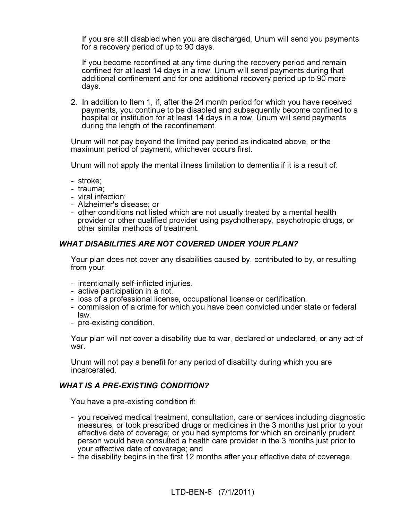If you are still disabled when you are discharged, Unum will send you payments for a recovery period of up to 90 days.

 If you become reconfined at any time during the recovery period and remain confined for at least 14 days in a row, Unum will send payments during that additional confinement and for one additional recovery period up to 90 more days.

2. In addition to Item 1, if, after the 24 month period for which you have received payments, you continue to be disabled and subsequently become confined to a hospital or institution for at least 14 days in a row, Unum will send payments during the length of the reconfinement.

Unum will not pay beyond the limited pay period as indicated above, or the maximum period of payment, whichever occurs first.

Unum will not apply the mental illness limitation to dementia if it is a result of:

- stroke;
- trauma;
- viral infection;
- Alzheimer's disease; or
- other conditions not listed which are not usually treated by a mental health provider or other qualified provider using psychotherapy, psychotropic drugs, or other similar methods of treatment.

## WHAT DISABILITIES ARE NOT COVERED UNDER YOUR PLAN?

Your plan does not cover any disabilities caused by, contributed to by, or resulting from your:

- intentionally self-inflicted injuries.
- active participation in a riot.
- loss of a professional license, occupational license or certification.
- commission of a crime for which you have been convicted under state or federal law.
- pre-existing condition.

Your plan will not cover a disability due to war, declared or undeclared, or any act of war.

Unum will not pay a benefit for any period of disability during which you are incarcerated.

## WHAT IS A PRE-EXISTING CONDITION?

You have a pre-existing condition if:

- you received medical treatment, consultation, care or services including diagnostic measures, or took prescribed drugs or medicines in the 3 months just prior to your effective date of coverage; or you had symptoms for which an ordinarily prudent person would have consulted a health care provider in the 3 months just prior to your effective date of coverage; and
- the disability begins in the first 12 months after your effective date of coverage.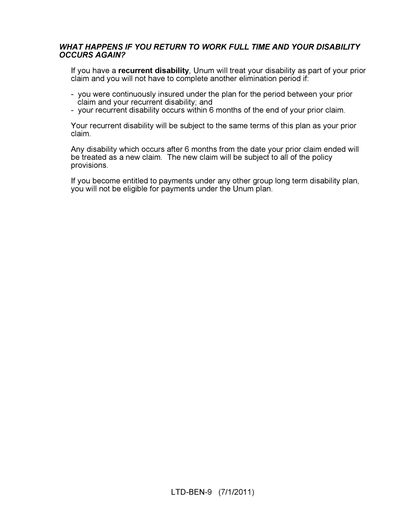## WHAT HAPPENS IF YOU RETURN TO WORK FULL TIME AND YOUR DISABILITY<br>OCCURS AGAIN? OCCURS AGAIN?

If you have a recurrent disability, Unum will treat your disability as part of your prior claim and you will not have to complete another elimination period if:

- you were continuously insured under the plan for the period between your prior claim and your recurrent disability; and
- your recurrent disability occurs within 6 months of the end of your prior claim.

Your recurrent disability will be subject to the same terms of this plan as your prior claim.

Any disability which occurs after 6 months from the date your prior claim ended will be treated as a new claim. The new claim will be subject to all of the policy provisions.

If you become entitled to payments under any other group long term disability plan, you will not be eligible for payments under the Unum plan.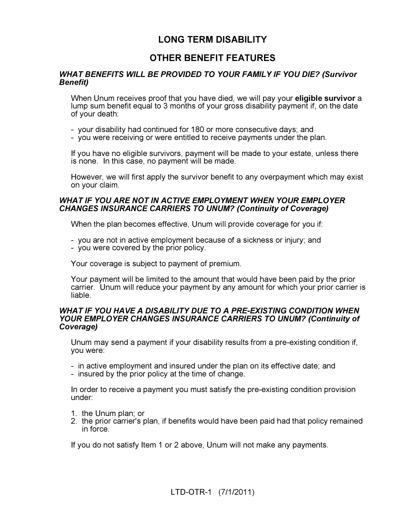### LONG TERM DISABILITY

### OTHER BENEFIT FEATURES

## WHAT BENEFITS WILL BE PROVIDED TO YOUR FAMILY IF YOU DIE? (Survivor<br>Benefit)  $\overline{\phantom{a}}$

When Unum receives proof that you have died, we will pay your **eligible survivor** a lump sum benefit equal to 3 months of your gross disability payment if, on the date of your death:

- your disability had continued for 180 or more consecutive days; and
- you were receiving or were entitled to receive payments under the plan.

If you have no eligible survivors, payment will be made to your estate, unless there is none. In this case, no payment will be made.

However, we will first apply the survivor benefit to any overpayment which may exist on your claim.

## WHAT IF YOU ARE NOT IN ACTIVE EMPLOYMENT WHEN YOUR EMPLOYER<br>CHANGES INSURANCE CARRIERS TO UNUM? (Continuity of Coverage) CHANGES INSURANCE CARRIERS TO UNUM? (Continuity of Coverage)

When the plan becomes effective, Unum will provide coverage for you if:

- you are not in active employment because of a sickness or injury; and
- you were covered by the prior policy.

Your coverage is subject to payment of premium.

Your payment will be limited to the amount that would have been paid by the prior carrier. Unum will reduce your payment by any amount for which your prior carrier is liable.

### WHAT IF YOU HAVE A DISABILITY DUE TO A PRE-EXISTING CONDITION WHEN<br>YOUR EMPLOYER CHANGES INSURANCE CARRIERS TO UNUM? (Continuity of Coverage)  $\frac{1}{2}$

Unum may send a payment if your disability results from a pre-existing condition if, you were:

- in active employment and insured under the plan on its effective date; and
- insured by the prior policy at the time of change.

In order to receive a payment you must satisfy the pre-existing condition provision under:

- 1. the Unum plan; or
- 2. the prior carrier's plan, if benefits would have been paid had that policy remained in force.

If you do not satisfy Item 1 or 2 above, Unum will not make any payments.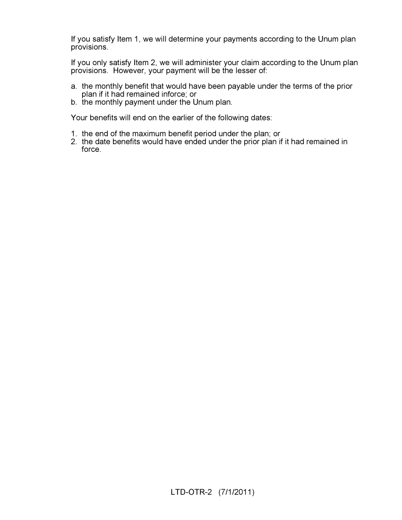If you satisfy Item 1, we will determine your payments according to the Unum plan provisions.

If you only satisfy Item 2, we will administer your claim according to the Unum plan provisions. However, your payment will be the lesser of:

- a. the monthly benefit that would have been payable under the terms of the prior plan if it had remained inforce; or
- b. the monthly payment under the Unum plan.

Your benefits will end on the earlier of the following dates:

- 1. the end of the maximum benefit period under the plan; or
- 2. the date benefits would have ended under the prior plan if it had remained in force.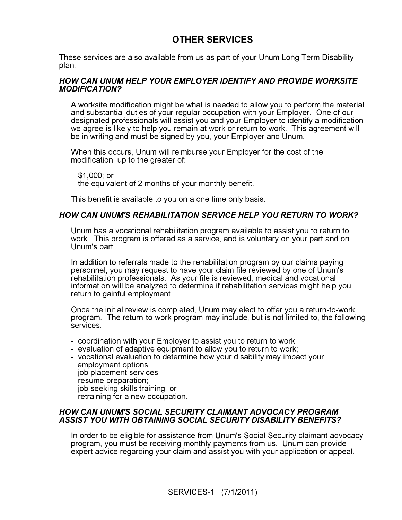### OTHER SERVICES

These services are also available from us as part of your Unum Long Term Disability plan.

#### HOW CAN UNUM HELP YOUR EMPLOYER IDENTIFY AND PROVIDE WORKSITE MODIFICATION? modification.

A worksite modification might be what is needed to allow you to perform the material and substantial duties of your regular occupation with your Employer. One of our designated professionals will assist you and your Employer to identify a modification we agree is likely to help you remain at work or return to work. This agreement will be in writing and must be signed by you, your Employer and Unum.

When this occurs, Unum will reimburse your Employer for the cost of the modification, up to the greater of:

- \$1,000; or
- the equivalent of 2 months of your monthly benefit.

This benefit is available to you on a one time only basis.

#### HOW CAN UNUM'S REHABILITATION SERVICE HELP YOU RETURN TO WORK?

Unum has a vocational rehabilitation program available to assist you to return to work. This program is offered as a service, and is voluntary on your part and on Unum's part.

In addition to referrals made to the rehabilitation program by our claims paying personnel, you may request to have your claim file reviewed by one of Unum's rehabilitation professionals. As your file is reviewed, medical and vocational information will be analyzed to determine if rehabilitation services might help you return to gainful employment.

Once the initial review is completed, Unum may elect to offer you a return-to-work program. The return-to-work program may include, but is not limited to, the following services:

- coordination with your Employer to assist you to return to work;
- evaluation of adaptive equipment to allow you to return to work;
- vocational evaluation to determine how your disability may impact your employment options;
- job placement services;
- resume preparation;
- job seeking skills training; or
- retraining for a new occupation.

## HOW CAN UNUM'S SOCIAL SECURITY CLAIMANT ADVOCACY PROGRAM ASSIST YOU WITH OBTAINING SOCIAL SECURITY DISABILITY BENEFITS?

In order to be eligible for assistance from Unum's Social Security claimant advocacy program, you must be receiving monthly payments from us. Unum can provide expert advice regarding your claim and assist you with your application or appeal.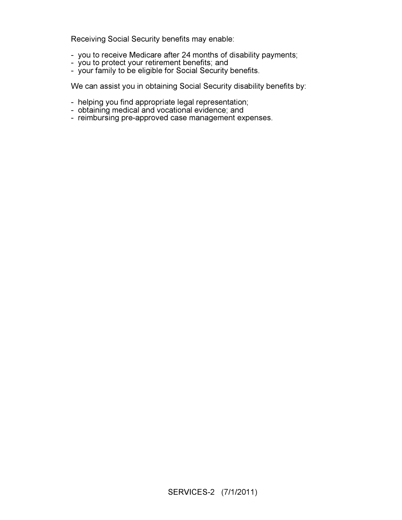Receiving Social Security benefits may enable:

- you to receive Medicare after 24 months of disability payments;
- you to protect your retirement benefits; and
- your family to be eligible for Social Security benefits.

We can assist you in obtaining Social Security disability benefits by:

- helping you find appropriate legal representation;
- obtaining medical and vocational evidence; and
- reimbursing pre-approved case management expenses.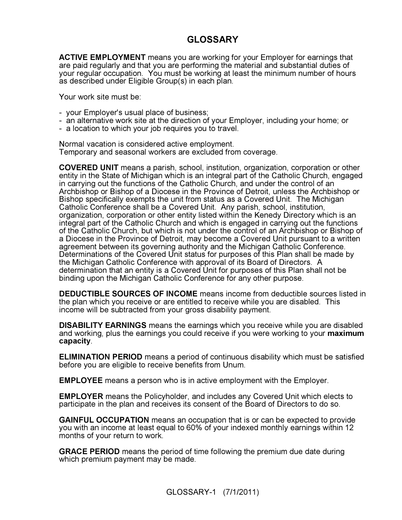### GLOSSARY

ACTIVE EMPLOYMENT means you are working for your Employer for earnings that are paid regularly and that you are performing the material and substantial duties of your regular occupation. You must be working at least the minimum number of hours as described under Eligible Group(s) in each plan.

Your work site must be:

- your Employer's usual place of business;
- an alternative work site at the direction of your Employer, including your home; or
- a location to which your job requires you to travel.

Normal vacation is considered active employment. Temporary and seasonal workers are excluded from coverage.

COVERED UNIT means a parish, school, institution, organization, corporation or other entity in the State of Michigan which is an integral part of the Catholic Church, engaged in carrying out the functions of the Catholic Church, and under the control of an Archbishop or Bishop of a Diocese in the Province of Detroit, unless the Archbishop or Bishop specifically exempts the unit from status as a Covered Unit. The Michigan Catholic Conference shall be a Covered Unit. Any parish, school, institution, organization, corporation or other entity listed within the Kenedy Directory which is an integral part of the Catholic Church and which is engaged in carrying out the functions of the Catholic Church, but which is not under the control of an Archbishop or Bishop of a Diocese in the Province of Detroit, may become a Covered Unit pursuant to a written agreement between its governing authority and the Michigan Catholic Conference. Determinations of the Covered Unit status for purposes of this Plan shall be made by the Michigan Catholic Conference with approval of its Board of Directors. A determination that an entity is a Covered Unit for purposes of this Plan shall not be binding upon the Michigan Catholic Conference for any other purpose.

DEDUCTIBLE SOURCES OF INCOME means income from deductible sources listed in the plan which you receive or are entitled to receive while you are disabled. This income will be subtracted from your gross disability payment.

DISABILITY EARNINGS means the earnings which you receive while you are disabled and working, plus the earnings you could receive if you were working to your **maximum** capacity.

ELIMINATION PERIOD means a period of continuous disability which must be satisfied before you are eligible to receive benefits from Unum.

EMPLOYEE means a person who is in active employment with the Employer.

EMPLOYER means the Policyholder, and includes any Covered Unit which elects to participate in the plan and receives its consent of the Board of Directors to do so.

GAINFUL OCCUPATION means an occupation that is or can be expected to provide you with an income at least equal to 60% of your indexed monthly earnings within 12 months of your return to work.

GRACE PERIOD means the period of time following the premium due date during which premium payment may be made.

GLOSSARY-1 (7/1/2011)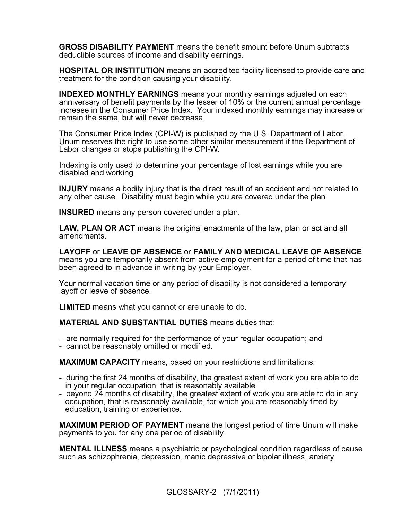GROSS DISABILITY PAYMENT means the benefit amount before Unum subtracts deductible sources of income and disability earnings.

HOSPITAL OR INSTITUTION means an accredited facility licensed to provide care and treatment for the condition causing your disability.

INDEXED MONTHLY EARNINGS means your monthly earnings adjusted on each anniversary of benefit payments by the lesser of 10% or the current annual percentage increase in the Consumer Price Index. Your indexed monthly earnings may increase or remain the same, but will never decrease.

The Consumer Price Index (CPI-W) is published by the U.S. Department of Labor. Unum reserves the right to use some other similar measurement if the Department of Labor changes or stops publishing the CPI-W.

Indexing is only used to determine your percentage of lost earnings while you are disabled and working.

INJURY means a bodily injury that is the direct result of an accident and not related to any other cause. Disability must begin while you are covered under the plan.

INSURED means any person covered under a plan.

LAW, PLAN OR ACT means the original enactments of the law, plan or act and all amendments.

LAYOFF or LEAVE OF ABSENCE or FAMILY AND MEDICAL LEAVE OF ABSENCE means you are temporarily absent from active employment for a period of time that has been agreed to in advance in writing by your Employer.

Your normal vacation time or any period of disability is not considered a temporary layoff or leave of absence.

LIMITED means what you cannot or are unable to do.

MATERIAL AND SUBSTANTIAL DUTIES means duties that:

- are normally required for the performance of your regular occupation; and
- cannot be reasonably omitted or modified.

MAXIMUM CAPACITY means, based on your restrictions and limitations:

- during the first 24 months of disability, the greatest extent of work you are able to do in your regular occupation, that is reasonably available.
- beyond 24 months of disability, the greatest extent of work you are able to do in any occupation, that is reasonably available, for which you are reasonably fitted by education, training or experience.

MAXIMUM PERIOD OF PAYMENT means the longest period of time Unum will make payments to you for any one period of disability.

MENTAL ILLNESS means a psychiatric or psychological condition regardless of cause such as schizophrenia, depression, manic depressive or bipolar illness, anxiety,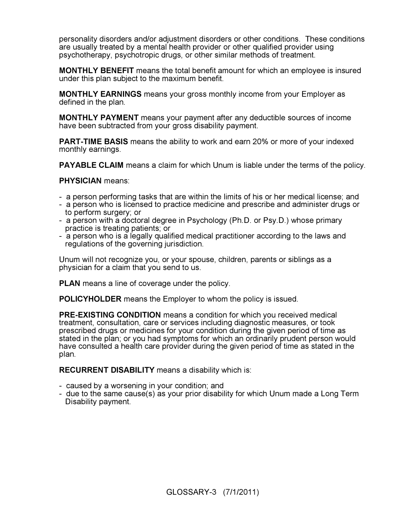personality disorders and/or adjustment disorders or other conditions. These conditions are usually treated by a mental health provider or other qualified provider using psychotherapy, psychotropic drugs, or other similar methods of treatment.

MONTHLY BENEFIT means the total benefit amount for which an employee is insured under this plan subject to the maximum benefit.

MONTHLY EARNINGS means your gross monthly income from your Employer as defined in the plan.

MONTHLY PAYMENT means your payment after any deductible sources of income have been subtracted from your gross disability payment.

**PART-TIME BASIS** means the ability to work and earn 20% or more of your indexed monthly earnings.

PAYABLE CLAIM means a claim for which Unum is liable under the terms of the policy.

PHYSICIAN means:

- a person performing tasks that are within the limits of his or her medical license; and
- a person who is licensed to practice medicine and prescribe and administer drugs or to perform surgery; or
- a person with a doctoral degree in Psychology (Ph.D. or Psy.D.) whose primary practice is treating patients; or
- a person who is a legally qualified medical practitioner according to the laws and regulations of the governing jurisdiction.

Unum will not recognize you, or your spouse, children, parents or siblings as a physician for a claim that you send to us.

**PLAN** means a line of coverage under the policy.

POLICYHOLDER means the Employer to whom the policy is issued.

PRE-EXISTING CONDITION means a condition for which you received medical treatment, consultation, care or services including diagnostic measures, or took prescribed drugs or medicines for your condition during the given period of time as stated in the plan; or you had symptoms for which an ordinarily prudent person would have consulted a health care provider during the given period of time as stated in the plan.

RECURRENT DISABILITY means a disability which is:

- caused by a worsening in your condition; and
- due to the same cause(s) as your prior disability for which Unum made a Long Term Disability payment.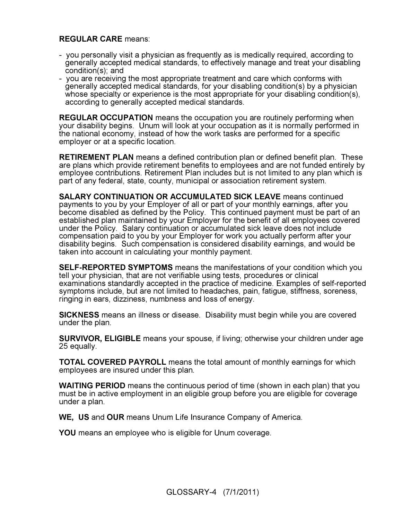#### REGULAR CARE means:

- you personally visit a physician as frequently as is medically required, according to generally accepted medical standards, to effectively manage and treat your disabling condition(s); and
- you are receiving the most appropriate treatment and care which conforms with generally accepted medical standards, for your disabling condition(s) by a physician whose specialty or experience is the most appropriate for your disabling condition(s), according to generally accepted medical standards.

REGULAR OCCUPATION means the occupation you are routinely performing when your disability begins. Unum will look at your occupation as it is normally performed in the national economy, instead of how the work tasks are performed for a specific employer or at a specific location.

RETIREMENT PLAN means a defined contribution plan or defined benefit plan. These are plans which provide retirement benefits to employees and are not funded entirely by employee contributions. Retirement Plan includes but is not limited to any plan which is part of any federal, state, county, municipal or association retirement system.

SALARY CONTINUATION OR ACCUMULATED SICK LEAVE means continued payments to you by your Employer of all or part of your monthly earnings, after you become disabled as defined by the Policy. This continued payment must be part of an established plan maintained by your Employer for the benefit of all employees covered under the Policy. Salary continuation or accumulated sick leave does not include compensation paid to you by your Employer for work you actually perform after your disability begins. Such compensation is considered disability earnings, and would be taken into account in calculating your monthly payment.

SELF-REPORTED SYMPTOMS means the manifestations of your condition which you tell your physician, that are not verifiable using tests, procedures or clinical examinations standardly accepted in the practice of medicine. Examples of self-reported symptoms include, but are not limited to headaches, pain, fatigue, stiffness, soreness, ringing in ears, dizziness, numbness and loss of energy.

SICKNESS means an illness or disease. Disability must begin while you are covered under the plan.

SURVIVOR, ELIGIBLE means your spouse, if living; otherwise your children under age 25 equally.

TOTAL COVERED PAYROLL means the total amount of monthly earnings for which employees are insured under this plan.

WAITING PERIOD means the continuous period of time (shown in each plan) that you must be in active employment in an eligible group before you are eligible for coverage under a plan.

WE, US and OUR means Unum Life Insurance Company of America.

YOU means an employee who is eligible for Unum coverage.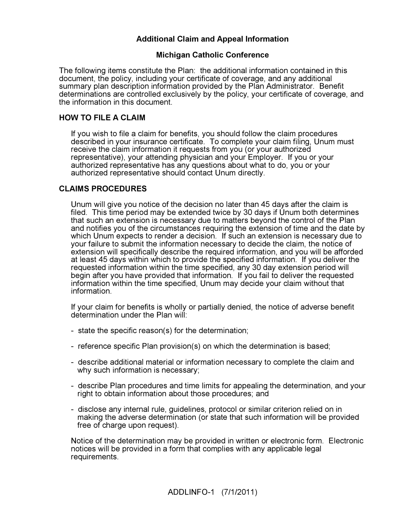### Additional Claim and Appeal Information

#### Michigan Catholic Conference

The following items constitute the Plan: the additional information contained in this document, the policy, including your certificate of coverage, and any additional summary plan description information provided by the Plan Administrator. Benefit determinations are controlled exclusively by the policy, your certificate of coverage, and the information in this document.

#### HOW TO FILE A CLAIM

If you wish to file a claim for benefits, you should follow the claim procedures described in your insurance certificate. To complete your claim filing, Unum must receive the claim information it requests from you (or your authorized representative), your attending physician and your Employer. If you or your authorized representative has any questions about what to do, you or your authorized representative should contact Unum directly.

#### CLAIMS PROCEDURES

Unum will give you notice of the decision no later than 45 days after the claim is filed. This time period may be extended twice by 30 days if Unum both determines that such an extension is necessary due to matters beyond the control of the Plan and notifies you of the circumstances requiring the extension of time and the date by which Unum expects to render a decision. If such an extension is necessary due to your failure to submit the information necessary to decide the claim, the notice of extension will specifically describe the required information, and you will be afforded at least 45 days within which to provide the specified information. If you deliver the requested information within the time specified, any 30 day extension period will begin after you have provided that information. If you fail to deliver the requested information within the time specified, Unum may decide your claim without that information.

If your claim for benefits is wholly or partially denied, the notice of adverse benefit determination under the Plan will:

- state the specific reason(s) for the determination;
- reference specific Plan provision(s) on which the determination is based;
- describe additional material or information necessary to complete the claim and why such information is necessary;
- describe Plan procedures and time limits for appealing the determination, and your right to obtain information about those procedures; and
- disclose any internal rule, guidelines, protocol or similar criterion relied on in making the adverse determination (or state that such information will be provided free of charge upon request).

Notice of the determination may be provided in written or electronic form. Electronic notices will be provided in a form that complies with any applicable legal requirements.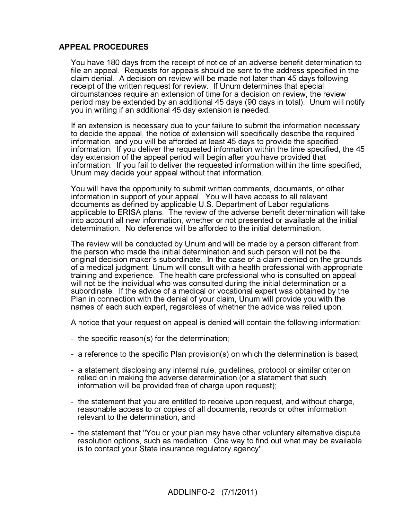#### APPEAL PROCEDURES

You have 180 days from the receipt of notice of an adverse benefit determination to file an appeal. Requests for appeals should be sent to the address specified in the claim denial. A decision on review will be made not later than 45 days following receipt of the written request for review. If Unum determines that special circumstances require an extension of time for a decision on review, the review period may be extended by an additional 45 days (90 days in total). Unum will notify you in writing if an additional 45 day extension is needed.

If an extension is necessary due to your failure to submit the information necessary to decide the appeal, the notice of extension will specifically describe the required information, and you will be afforded at least 45 days to provide the specified information. If you deliver the requested information within the time specified, the 45 day extension of the appeal period will begin after you have provided that information. If you fail to deliver the requested information within the time specified, Unum may decide your appeal without that information.

You will have the opportunity to submit written comments, documents, or other information in support of your appeal. You will have access to all relevant documents as defined by applicable U.S. Department of Labor regulations applicable to ERISA plans. The review of the adverse benefit determination will take into account all new information, whether or not presented or available at the initial determination. No deference will be afforded to the initial determination.

The review will be conducted by Unum and will be made by a person different from the person who made the initial determination and such person will not be the original decision maker's subordinate. In the case of a claim denied on the grounds of a medical judgment, Unum will consult with a health professional with appropriate training and experience. The health care professional who is consulted on appeal will not be the individual who was consulted during the initial determination or a subordinate. If the advice of a medical or vocational expert was obtained by the Plan in connection with the denial of your claim, Unum will provide you with the names of each such expert, regardless of whether the advice was relied upon.

A notice that your request on appeal is denied will contain the following information:

- the specific reason(s) for the determination;
- a reference to the specific Plan provision(s) on which the determination is based;
- a statement disclosing any internal rule, guidelines, protocol or similar criterion relied on in making the adverse determination (or a statement that such information will be provided free of charge upon request);
- the statement that you are entitled to receive upon request, and without charge, reasonable access to or copies of all documents, records or other information relevant to the determination; and
- the statement that "You or your plan may have other voluntary alternative dispute resolution options, such as mediation. One way to find out what may be available is to contact your State insurance regulatory agency".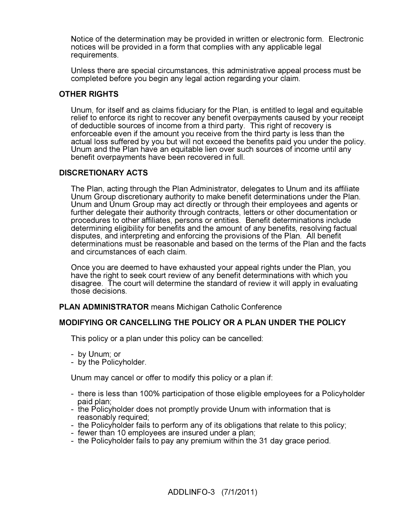Notice of the determination may be provided in written or electronic form. Electronic notices will be provided in a form that complies with any applicable legal requirements.

Unless there are special circumstances, this administrative appeal process must be completed before you begin any legal action regarding your claim.

#### OTHER RIGHTS

Unum, for itself and as claims fiduciary for the Plan, is entitled to legal and equitable relief to enforce its right to recover any benefit overpayments caused by your receipt of deductible sources of income from a third party. This right of recovery is enforceable even if the amount you receive from the third party is less than the actual loss suffered by you but will not exceed the benefits paid you under the policy. Unum and the Plan have an equitable lien over such sources of income until any benefit overpayments have been recovered in full.

#### DISCRETIONARY ACTS

The Plan, acting through the Plan Administrator, delegates to Unum and its affiliate Unum Group discretionary authority to make benefit determinations under the Plan. Unum and Unum Group may act directly or through their employees and agents or further delegate their authority through contracts, letters or other documentation or procedures to other affiliates, persons or entities. Benefit determinations include determining eligibility for benefits and the amount of any benefits, resolving factual disputes, and interpreting and enforcing the provisions of the Plan. All benefit determinations must be reasonable and based on the terms of the Plan and the facts and circumstances of each claim.

Once you are deemed to have exhausted your appeal rights under the Plan, you have the right to seek court review of any benefit determinations with which you disagree. The court will determine the standard of review it will apply in evaluating those decisions.

#### PLAN ADMINISTRATOR means Michigan Catholic Conference

#### MODIFYING OR CANCELLING THE POLICY OR A PLAN UNDER THE POLICY

This policy or a plan under this policy can be cancelled:

- by Unum; or
- by the Policyholder.

Unum may cancel or offer to modify this policy or a plan if:

- there is less than 100% participation of those eligible employees for a Policyholder paid plan;
- the Policyholder does not promptly provide Unum with information that is reasonably required;
- the Policyholder fails to perform any of its obligations that relate to this policy;
- fewer than 10 employees are insured under a plan;
- the Policyholder fails to pay any premium within the 31 day grace period.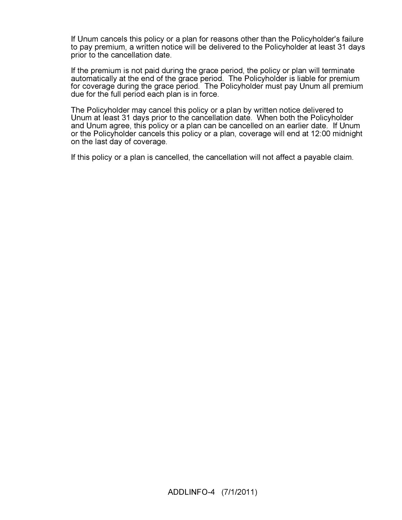If Unum cancels this policy or a plan for reasons other than the Policyholder's failure to pay premium, a written notice will be delivered to the Policyholder at least 31 days prior to the cancellation date.

If the premium is not paid during the grace period, the policy or plan will terminate automatically at the end of the grace period. The Policyholder is liable for premium for coverage during the grace period. The Policyholder must pay Unum all premium due for the full period each plan is in force.

The Policyholder may cancel this policy or a plan by written notice delivered to Unum at least 31 days prior to the cancellation date. When both the Policyholder and Unum agree, this policy or a plan can be cancelled on an earlier date. If Unum or the Policyholder cancels this policy or a plan, coverage will end at 12:00 midnight on the last day of coverage.

If this policy or a plan is cancelled, the cancellation will not affect a payable claim.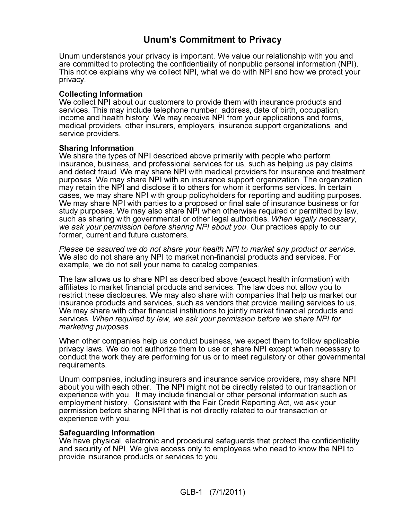### Unum's Commitment to Privacy

Unum understands your privacy is important. We value our relationship with you and are committed to protecting the confidentiality of nonpublic personal information (NPI). This notice explains why we collect NPI, what we do with NPI and how we protect your privacy.

#### Collecting Information

We collect NPI about our customers to provide them with insurance products and services. This may include telephone number, address, date of birth, occupation, income and health history. We may receive NPI from your applications and forms, medical providers, other insurers, employers, insurance support organizations, and service providers.

#### Sharing Information

We share the types of NPI described above primarily with people who perform insurance, business, and professional services for us, such as helping us pay claims and detect fraud. We may share NPI with medical providers for insurance and treatment purposes. We may share NPI with an insurance support organization. The organization may retain the NPI and disclose it to others for whom it performs services. In certain cases, we may share NPI with group policyholders for reporting and auditing purposes. We may share NPI with parties to a proposed or final sale of insurance business or for study purposes. We may also share NPI when otherwise required or permitted by law, such as sharing with governmental or other legal authorities. When legally necessary, we ask your permission before sharing NPI about you. Our practices apply to our former, current and future customers.

Please be assured we do not share your health NPI to market any product or service. We also do not share any NPI to market non-financial products and services. For example, we do not sell your name to catalog companies.

The law allows us to share NPI as described above (except health information) with affiliates to market financial products and services. The law does not allow you to restrict these disclosures. We may also share with companies that help us market our insurance products and services, such as vendors that provide mailing services to us. We may share with other financial institutions to jointly market financial products and services. When required by law, we ask your permission before we share NPI for marketing purposes.

When other companies help us conduct business, we expect them to follow applicable privacy laws. We do not authorize them to use or share NPI except when necessary to conduct the work they are performing for us or to meet regulatory or other governmental requirements.

Unum companies, including insurers and insurance service providers, may share NPI about you with each other. The NPI might not be directly related to our transaction or experience with you. It may include financial or other personal information such as employment history. Consistent with the Fair Credit Reporting Act, we ask your permission before sharing NPI that is not directly related to our transaction or experience with you.

#### Safeguarding Information

We have physical, electronic and procedural safeguards that protect the confidentiality and security of NPI. We give access only to employees who need to know the NPI to provide insurance products or services to you.